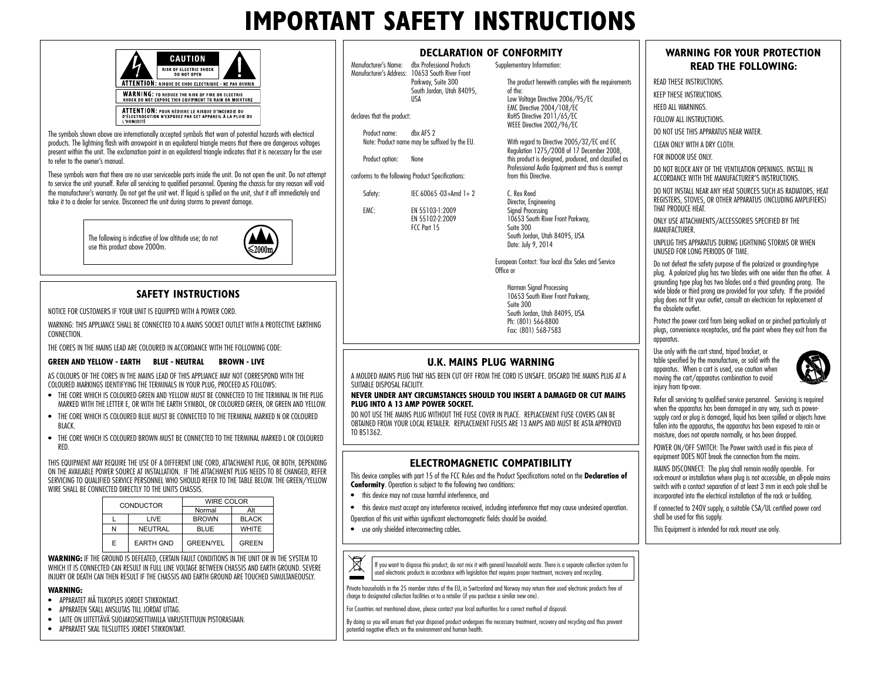## **IMPORTANT SAFETY INSTRUCTIONS**

 Parkway, Suite 300 South Jordan, Utah 84095,

 EN 55102-2:2009 FCC Part 15

Manufacturer's Name: dbx Professional Products Manufacturer's Address: 10653 South River Front

USA

declares that the product:

Product name: dbx AFS 2 Note: Product name may be suffixed by the EU.

conforms to the following Product Specifications: Safety: IEC 60065 -03+Amd 1+2 EMC: EN 55103-1:2009

Product option: None

|            | CAUTION                                                                                                          |  |
|------------|------------------------------------------------------------------------------------------------------------------|--|
|            | <b>RISK OF ELECTRIC SHOCK</b><br><b>DO NOT OPEN</b>                                                              |  |
|            | ATTENTION: RISQUE DE CHOC ELECTRIQUE - NE PAS OUVRIR                                                             |  |
|            | <b>WARNING: TO REDUCE THE RISK OF FIRE OR ELECTRIC</b><br>SHOCK DO NOT EXPOSE THIS EQUIPMENT TO RAIN OR MOISTURE |  |
| I HUMIDITÉ | ATTENTION: POUR RÉDUIRE LE RISQUE D'INCENDIE OU<br>D'ÉLECTROCUTION N'EXPOSEZ PAS CET APPAREIL À LA PLUIE OU      |  |

The symbols shown above are internationally accepted symbols that warn of potential hazards with electrical products. The lightning flash with arrowpoint in an equilateral triangle means that there are dangerous voltages present within the unit. The exclamation point in an equilateral triangle indicates that it is necessary for the user to refer to the owner's manual.

These symbols warn that there are no user serviceable parts inside the unit. Do not open the unit. Do not attempt to service the unit yourself. Refer all servicing to qualified personnel. Opening the chassis for any reason will void the manufacturer's warranty. Do not get the unit wet. If liquid is spilled on the unit, shut it off immediately and take it to a dealer for service. Disconnect the unit during storms to prevent damage.

> The following is indicative of low altitude use; do not use this product above 2000m.



## **SAFETY INSTRUCTIONS**

NOTICE FOR CUSTOMERS IF YOUR UNIT IS EQUIPPED WITH A POWER CORD.

WARNING: THIS APPLIANCE SHALL BE CONNECTED TO A MAINS SOCKET OUTLET WITH A PROTECTIVE EARTHING **CONNECTION** 

THE CORES IN THE MAINS LEAD ARE COLOURED IN ACCORDANCE WITH THE FOLLOWING CODE:

### **GREEN AND YELLOW - FARTH BLUE - NEUTRAL BROWN - LIVE**

AS COLOURS OF THE CORES IN THE MAINS LEAD OF THIS APPLIANCE MAY NOT CORRESPOND WITH THE COLOURED MARKINGS IDENTIFYING THE TERMINALS IN YOUR PLUG, PROCEED AS FOLLOWS:

- THE CORE WHICH IS COLOURED GREEN AND YELLOW MUST BE CONNECTED TO THE TERMINAL IN THE PLUG MARKED WITH THE LETTER E, OR WITH THE EARTH SYMBOL, OR COLOURED GREEN, OR GREEN AND YELLOW.
- THE CORE WHICH IS COLOURED BLUE MUST BE CONNECTED TO THE TERMINAL MARKED N OR COLOURED BLACK.
- THE CORE WHICH IS COLOURED BROWN MUST BE CONNECTED TO THE TERMINAL MARKED L OR COLOURED RED.

THIS EQUIPMENT MAY REQUIRE THE USE OF A DIFFERENT LINE CORD, ATTACHMENT PLUG, OR BOTH, DEPENDING ON THE AVAILABLE POWER SOURCE AT INSTALLATION. IF THE ATTACHMENT PLUG NEEDS TO BE CHANGED, REFER SERVICING TO QUALIFIED SERVICE PERSONNEL WHO SHOULD REFER TO THE TABLE BELOW. THE GREEN/YELLOW WIRE SHALL BE CONNECTED DIRECTLY TO THE UNITS CHASSIS.

| CONDUCTOR |                  | WIRE COLOR       |              |  |
|-----------|------------------|------------------|--------------|--|
|           |                  | Normal           | Alt          |  |
|           | I IVE            | <b>BROWN</b>     | <b>BLACK</b> |  |
| N         | <b>NEUTRAL</b>   | <b>BLUE</b>      | <b>WHITE</b> |  |
| F         | <b>EARTH GND</b> | <b>GREEN/YEL</b> | <b>GREEN</b> |  |

**WARNING:** IF THE GROUND IS DEFEATED, CERTAIN FAULT CONDITIONS IN THE UNIT OR IN THE SYSTEM TO WHICH IT IS CONNECTED CAN RESULT IN FULL LINE VOLTAGE BETWEEN CHASSIS AND EARTH GROUND. SEVERE INJURY OR DEATH CAN THEN RESULT IF THE CHASSIS AND EARTH GROUND ARE TOUCHED SIMULTANEOUSLY.

### **WARNING:**

- APPARATET MÅ TILKOPLES JORDET STIKKONTAKT.
- APPARATEN SKALL ANSLUTAS TILL JORDAT UTTAG.
- LAITE ON LIITETTÄVÄ SUOJAKOSKETTIMILLA VARUSTETTUUN PISTORASIAAN.
- APPARATET SKAL TILSLUTTES JORDET STIKKONTAKT.

### **DECLARATION OF CONFORMITY**

Supplementary Information:

The product herewith complies with the requirements of the: Low Voltage Directive 2006/95/EC EMC Directive 2004/108/EC RoHS Directive 2011/65/EC WEEE Directive 2002/96/EC

With regard to Directive 2005/32/EC and EC Regulation 1275/2008 of 17 December 2008, this product is designed, produced, and classified as Professional Audio Equipment and thus is exempt from this Directive.

C. Rex Reed Director, Engineering Signal Processing 10653 South River Front Parkway, Suite 300 South Jordan, Utah 84095, USA Date: July 9, 2014

European Contact: Your local dbx Sales and Service Office or

Harman Sianal Processina 10653 South River Front Parkway, Suite 300 South Jordan, Utah 84095, USA Ph: (801) 566-8800 Fax: (801) 568-7583

### **U.K. MAINS PLUG WARNING**

A MOLDED MAINS PLUG THAT HAS BEEN CUT OFF FROM THE CORD IS UNSAFE. DISCARD THE MAINS PLUG AT A SUITABLE DISPOSAL FACILITY.

#### **NEVER UNDER ANY CIRCUMSTANCES SHOULD YOU INSERT A DAMAGED OR CUT MAINS PLUG INTO A 13 AMP POWER SOCKET.**

DO NOT USE THE MAINS PLUG WITHOUT THE FUSE COVER IN PLACE. REPLACEMENT FUSE COVERS CAN BE OBTAINED FROM YOUR LOCAL RETAILER. REPLACEMENT FUSES ARE 13 AMPS AND MUST BE ASTA APPROVED TO BS1362.

## **ELECTROMAGNETIC COMPATIBILITY**

This device complies with part 15 of the FCC Rules and the Product Specifications noted on the **Declaration of Conformity**. Operation is subject to the following two conditions:

- this device may not cause harmful interference, and
- this device must accept any interference received, including interference that may cause undesired operation. Operation of this unit within significant electromagnetic fields should be avoided.
- use only shielded interconnecting cables.



If you want to dispose this product, do not mix it with general household waste. There is a separate collection system for used electronic products in accordance with legislation that requires proper treatment, recovery and recycling.

Private households in the 25 member states of the EU, in Switzerland and Norway may return their used electronic products free of charge to designated collection facilities or to a retailer (if you purchase a similar new one).

For Countries not mentioned above, please contact your local authorities for a correct method of disposal.

By doing so you will ensure that your disposed product undergoes the necessary treatment, recovery and recycling and thus prevent potential negative effects on the environment and human health.

## **WARNING FOR YOUR PROTECTION READ THE FOLLOWING:**

READ THESE INSTRUCTIONS.

KEEP THESE INSTRUCTIONS.

HEED ALL WARNINGS.

FOLLOW ALL INSTRUCTIONS.

DO NOT USE THIS APPARATUS NEAR WATER.

CLEAN ONLY WITH A DRY CLOTH.

FOR INDOOR USE ONLY.

DO NOT BLOCK ANY OF THE VENTILATION OPENINGS. INSTALL IN ACCORDANCE WITH THE MANUFACTURER'S INSTRUCTIONS.

DO NOT INSTALL NEAR ANY HEAT SOURCES SUCH AS RADIATORS, HEAT REGISTERS, STOVES, OR OTHER APPARATUS (INCLUDING AMPLIFIERS) THAT PRODUCE HEAT.

ONLY USE ATTACHMENTS/ACCESSORIES SPECIFIED BY THE **MANUFACTURER** 

UNPLUG THIS APPARATUS DURING LIGHTNING STORMS OR WHEN UNUSED FOR LONG PERIODS OF TIME.

Do not defeat the safety purpose of the polarized or grounding-type plug. A polarized plug has two blades with one wider than the other. A grounding type plug has two blades and a third grounding prong. The wide blade or third prong are provided for your safety. If the provided plug does not fit your outlet, consult an electrician for replacement of the obsolete outlet.

Protect the power cord from being walked on or pinched particularly at plugs, convenience receptacles, and the point where they exit from the apparatus.

Use only with the cart stand, tripod bracket, or table specified by the manufacture, or sold with the apparatus. When a cart is used, use caution when moving the cart/apparatus combination to avoid injury from tip-over.



Refer all servicing to qualified service personnel. Servicing is required when the apparatus has been damaged in any way, such as powersupply cord or plug is damaged, liquid has been spilled or objects have fallen into the apparatus, the apparatus has been exposed to rain or moisture, does not operate normally, or has been dropped.

POWER ON/OFF SWITCH: The Power switch used in this piece of equipment DOES NOT break the connection from the mains.

MAINS DISCONNECT: The plug shall remain readily operable. For rack-mount or installation where plug is not accessible, an all-pole mains switch with a contact separation of at least 3 mm in each pole shall be incorporated into the electrical installation of the rack or building.

If connected to 240V supply, a suitable CSA/UL certified power cord shall be used for this supply.

This Equipment is intended for rack mount use only.